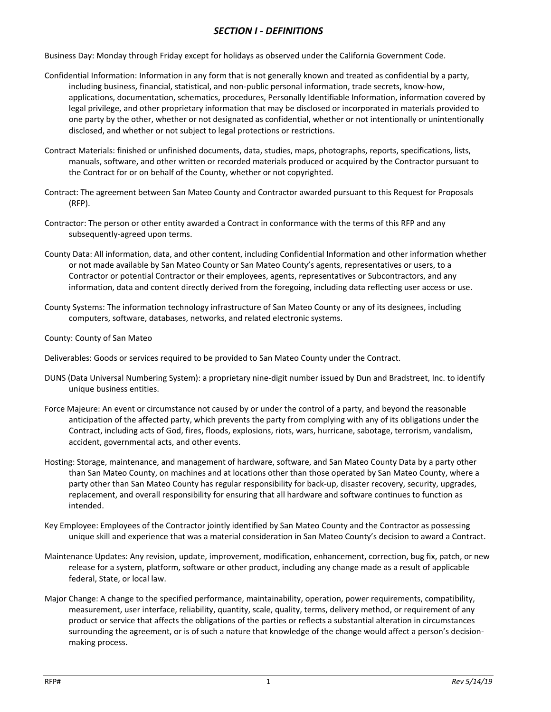## *SECTION I - DEFINITIONS*

Business Day: Monday through Friday except for holidays as observed under the California Government Code.

- Confidential Information: Information in any form that is not generally known and treated as confidential by a party, including business, financial, statistical, and non-public personal information, trade secrets, know-how, applications, documentation, schematics, procedures, Personally Identifiable Information, information covered by legal privilege, and other proprietary information that may be disclosed or incorporated in materials provided to one party by the other, whether or not designated as confidential, whether or not intentionally or unintentionally disclosed, and whether or not subject to legal protections or restrictions.
- Contract Materials: finished or unfinished documents, data, studies, maps, photographs, reports, specifications, lists, manuals, software, and other written or recorded materials produced or acquired by the Contractor pursuant to the Contract for or on behalf of the County, whether or not copyrighted.
- Contract: The agreement between San Mateo County and Contractor awarded pursuant to this Request for Proposals (RFP).
- Contractor: The person or other entity awarded a Contract in conformance with the terms of this RFP and any subsequently-agreed upon terms.
- County Data: All information, data, and other content, including Confidential Information and other information whether or not made available by San Mateo County or San Mateo County's agents, representatives or users, to a Contractor or potential Contractor or their employees, agents, representatives or Subcontractors, and any information, data and content directly derived from the foregoing, including data reflecting user access or use.
- County Systems: The information technology infrastructure of San Mateo County or any of its designees, including computers, software, databases, networks, and related electronic systems.
- County: County of San Mateo
- Deliverables: Goods or services required to be provided to San Mateo County under the Contract.
- DUNS (Data Universal Numbering System): a proprietary nine-digit number issued by Dun and Bradstreet, Inc. to identify unique business entities.
- Force Majeure: An event or circumstance not caused by or under the control of a party, and beyond the reasonable anticipation of the affected party, which prevents the party from complying with any of its obligations under the Contract, including acts of God, fires, floods, explosions, riots, wars, hurricane, sabotage, terrorism, vandalism, accident, governmental acts, and other events.
- Hosting: Storage, maintenance, and management of hardware, software, and San Mateo County Data by a party other than San Mateo County, on machines and at locations other than those operated by San Mateo County, where a party other than San Mateo County has regular responsibility for back-up, disaster recovery, security, upgrades, replacement, and overall responsibility for ensuring that all hardware and software continues to function as intended.
- Key Employee: Employees of the Contractor jointly identified by San Mateo County and the Contractor as possessing unique skill and experience that was a material consideration in San Mateo County's decision to award a Contract.
- Maintenance Updates: Any revision, update, improvement, modification, enhancement, correction, bug fix, patch, or new release for a system, platform, software or other product, including any change made as a result of applicable federal, State, or local law.
- Major Change: A change to the specified performance, maintainability, operation, power requirements, compatibility, measurement, user interface, reliability, quantity, scale, quality, terms, delivery method, or requirement of any product or service that affects the obligations of the parties or reflects a substantial alteration in circumstances surrounding the agreement, or is of such a nature that knowledge of the change would affect a person's decisionmaking process.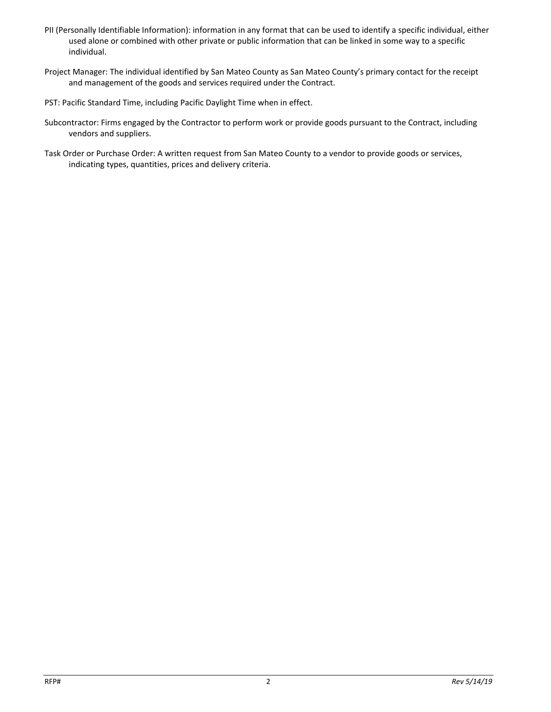- PII (Personally Identifiable Information): information in any format that can be used to identify a specific individual, either used alone or combined with other private or public information that can be linked in some way to a specific individual.
- Project Manager: The individual identified by San Mateo County as San Mateo County's primary contact for the receipt and management of the goods and services required under the Contract.
- PST: Pacific Standard Time, including Pacific Daylight Time when in effect.
- Subcontractor: Firms engaged by the Contractor to perform work or provide goods pursuant to the Contract, including vendors and suppliers.
- Task Order or Purchase Order: A written request from San Mateo County to a vendor to provide goods or services, indicating types, quantities, prices and delivery criteria.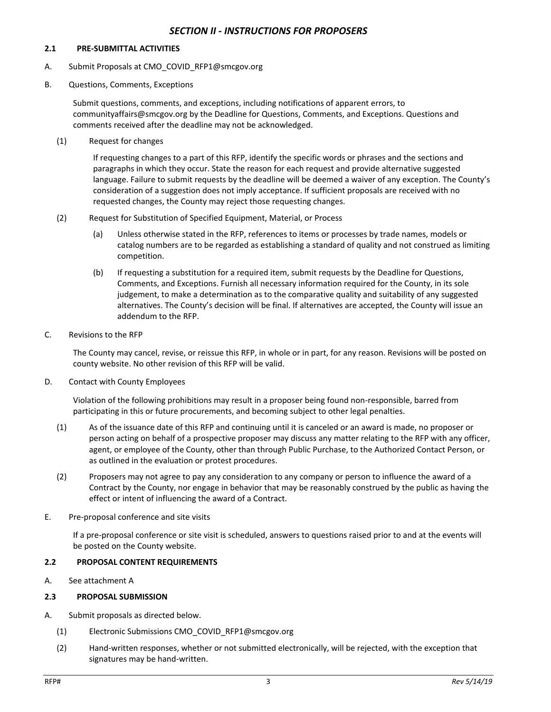### *SECTION II - INSTRUCTIONS FOR PROPOSERS*

#### **2.1 PRE-SUBMITTAL ACTIVITIES**

- A. Submit Proposals at CMO\_COVID\_RFP1@smcgov.org
- B. Questions, Comments, Exceptions

Submit questions, comments, and exceptions, including notifications of apparent errors, to communityaffairs@smcgov.org by the Deadline for Questions, Comments, and Exceptions. Questions and comments received after the deadline may not be acknowledged.

(1) Request for changes

If requesting changes to a part of this RFP, identify the specific words or phrases and the sections and paragraphs in which they occur. State the reason for each request and provide alternative suggested language. Failure to submit requests by the deadline will be deemed a waiver of any exception. The County's consideration of a suggestion does not imply acceptance. If sufficient proposals are received with no requested changes, the County may reject those requesting changes.

- (2) Request for Substitution of Specified Equipment, Material, or Process
	- (a) Unless otherwise stated in the RFP, references to items or processes by trade names, models or catalog numbers are to be regarded as establishing a standard of quality and not construed as limiting competition.
	- (b) If requesting a substitution for a required item, submit requests by the Deadline for Questions, Comments, and Exceptions. Furnish all necessary information required for the County, in its sole judgement, to make a determination as to the comparative quality and suitability of any suggested alternatives. The County's decision will be final. If alternatives are accepted, the County will issue an addendum to the RFP.
- C. Revisions to the RFP

The County may cancel, revise, or reissue this RFP, in whole or in part, for any reason. Revisions will be posted on county website. No other revision of this RFP will be valid.

D. Contact with County Employees

Violation of the following prohibitions may result in a proposer being found non-responsible, barred from participating in this or future procurements, and becoming subject to other legal penalties.

- (1) As of the issuance date of this RFP and continuing until it is canceled or an award is made, no proposer or person acting on behalf of a prospective proposer may discuss any matter relating to the RFP with any officer, agent, or employee of the County, other than through Public Purchase, to the Authorized Contact Person, or as outlined in the evaluation or protest procedures.
- (2) Proposers may not agree to pay any consideration to any company or person to influence the award of a Contract by the County, nor engage in behavior that may be reasonably construed by the public as having the effect or intent of influencing the award of a Contract.
- E. Pre-proposal conference and site visits

If a pre-proposal conference or site visit is scheduled, answers to questions raised prior to and at the events will be posted on the County website.

#### **2.2 PROPOSAL CONTENT REQUIREMENTS**

A. See attachment A

#### **2.3 PROPOSAL SUBMISSION**

- A. Submit proposals as directed below.
	- (1) Electronic Submissions CMO\_COVID\_RFP1@smcgov.org
	- (2) Hand-written responses, whether or not submitted electronically, will be rejected, with the exception that signatures may be hand-written.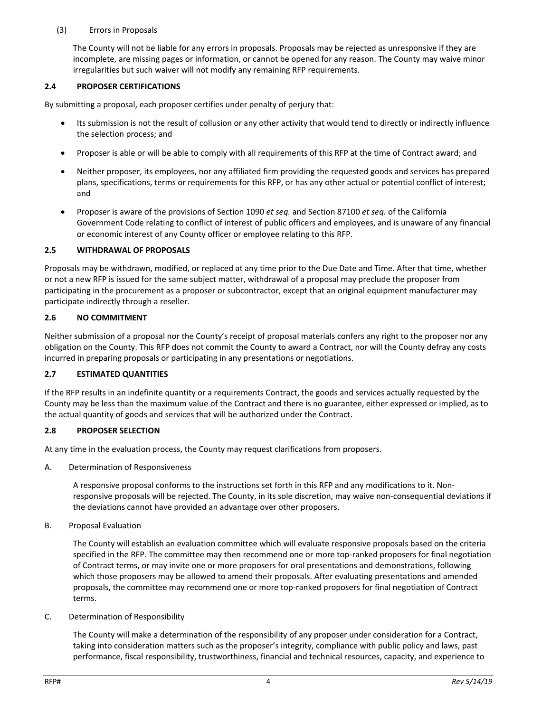## (3) Errors in Proposals

The County will not be liable for any errors in proposals. Proposals may be rejected as unresponsive if they are incomplete, are missing pages or information, or cannot be opened for any reason. The County may waive minor irregularities but such waiver will not modify any remaining RFP requirements.

## **2.4 PROPOSER CERTIFICATIONS**

By submitting a proposal, each proposer certifies under penalty of perjury that:

- Its submission is not the result of collusion or any other activity that would tend to directly or indirectly influence the selection process; and
- Proposer is able or will be able to comply with all requirements of this RFP at the time of Contract award; and
- Neither proposer, its employees, nor any affiliated firm providing the requested goods and services has prepared plans, specifications, terms or requirements for this RFP, or has any other actual or potential conflict of interest; and
- Proposer is aware of the provisions of Section 1090 *et seq.* and Section 87100 *et seq.* of the California Government Code relating to conflict of interest of public officers and employees, and is unaware of any financial or economic interest of any County officer or employee relating to this RFP.

### **2.5 WITHDRAWAL OF PROPOSALS**

Proposals may be withdrawn, modified, or replaced at any time prior to the Due Date and Time. After that time, whether or not a new RFP is issued for the same subject matter, withdrawal of a proposal may preclude the proposer from participating in the procurement as a proposer or subcontractor, except that an original equipment manufacturer may participate indirectly through a reseller.

### **2.6 NO COMMITMENT**

Neither submission of a proposal nor the County's receipt of proposal materials confers any right to the proposer nor any obligation on the County. This RFP does not commit the County to award a Contract, nor will the County defray any costs incurred in preparing proposals or participating in any presentations or negotiations.

## **2.7 ESTIMATED QUANTITIES**

If the RFP results in an indefinite quantity or a requirements Contract, the goods and services actually requested by the County may be less than the maximum value of the Contract and there is no guarantee, either expressed or implied, as to the actual quantity of goods and services that will be authorized under the Contract.

## **2.8 PROPOSER SELECTION**

At any time in the evaluation process, the County may request clarifications from proposers.

A. Determination of Responsiveness

A responsive proposal conforms to the instructions set forth in this RFP and any modifications to it. Nonresponsive proposals will be rejected. The County, in its sole discretion, may waive non-consequential deviations if the deviations cannot have provided an advantage over other proposers.

B. Proposal Evaluation

The County will establish an evaluation committee which will evaluate responsive proposals based on the criteria specified in the RFP. The committee may then recommend one or more top-ranked proposers for final negotiation of Contract terms, or may invite one or more proposers for oral presentations and demonstrations, following which those proposers may be allowed to amend their proposals. After evaluating presentations and amended proposals, the committee may recommend one or more top-ranked proposers for final negotiation of Contract terms.

C. Determination of Responsibility

The County will make a determination of the responsibility of any proposer under consideration for a Contract, taking into consideration matters such as the proposer's integrity, compliance with public policy and laws, past performance, fiscal responsibility, trustworthiness, financial and technical resources, capacity, and experience to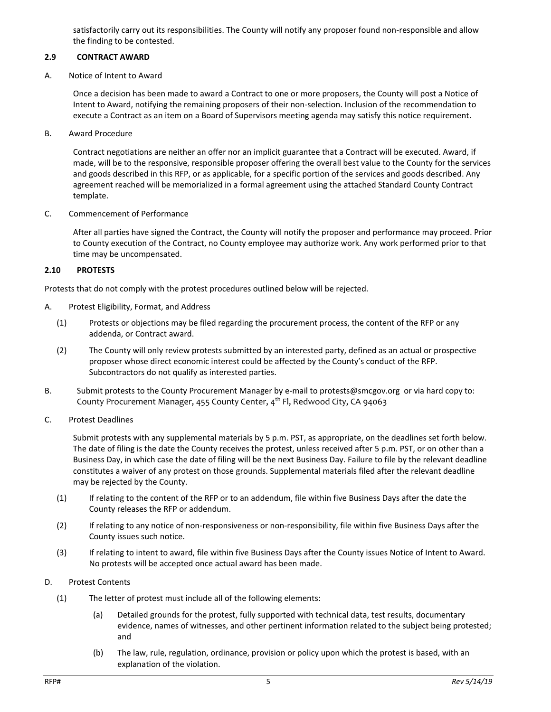satisfactorily carry out its responsibilities. The County will notify any proposer found non-responsible and allow the finding to be contested.

### **2.9 CONTRACT AWARD**

A. Notice of Intent to Award

Once a decision has been made to award a Contract to one or more proposers, the County will post a Notice of Intent to Award, notifying the remaining proposers of their non-selection. Inclusion of the recommendation to execute a Contract as an item on a Board of Supervisors meeting agenda may satisfy this notice requirement.

B. Award Procedure

Contract negotiations are neither an offer nor an implicit guarantee that a Contract will be executed. Award, if made, will be to the responsive, responsible proposer offering the overall best value to the County for the services and goods described in this RFP, or as applicable, for a specific portion of the services and goods described. Any agreement reached will be memorialized in a formal agreement using the attached Standard County Contract template.

C. Commencement of Performance

After all parties have signed the Contract, the County will notify the proposer and performance may proceed. Prior to County execution of the Contract, no County employee may authorize work. Any work performed prior to that time may be uncompensated.

### **2.10 PROTESTS**

Protests that do not comply with the protest procedures outlined below will be rejected.

- A. Protest Eligibility, Format, and Address
	- (1) Protests or objections may be filed regarding the procurement process, the content of the RFP or any addenda, or Contract award.
	- (2) The County will only review protests submitted by an interested party, defined as an actual or prospective proposer whose direct economic interest could be affected by the County's conduct of the RFP. Subcontractors do not qualify as interested parties.
- B. Submit protests to the County Procurement Manager by e-mail t[o protests@smcgov.org](mailto:protests@smcgov.org) or via hard copy to: County Procurement Manager, 455 County Center, 4<sup>th</sup> Fl, Redwood City, CA 94063
- C. Protest Deadlines

Submit protests with any supplemental materials by 5 p.m. PST, as appropriate, on the deadlines set forth below. The date of filing is the date the County receives the protest, unless received after 5 p.m. PST, or on other than a Business Day, in which case the date of filing will be the next Business Day. Failure to file by the relevant deadline constitutes a waiver of any protest on those grounds. Supplemental materials filed after the relevant deadline may be rejected by the County.

- (1) If relating to the content of the RFP or to an addendum, file within five Business Days after the date the County releases the RFP or addendum.
- (2) If relating to any notice of non-responsiveness or non-responsibility, file within five Business Days after the County issues such notice.
- (3) If relating to intent to award, file within five Business Days after the County issues Notice of Intent to Award. No protests will be accepted once actual award has been made.
- D. Protest Contents
	- (1) The letter of protest must include all of the following elements:
		- (a) Detailed grounds for the protest, fully supported with technical data, test results, documentary evidence, names of witnesses, and other pertinent information related to the subject being protested; and
		- (b) The law, rule, regulation, ordinance, provision or policy upon which the protest is based, with an explanation of the violation.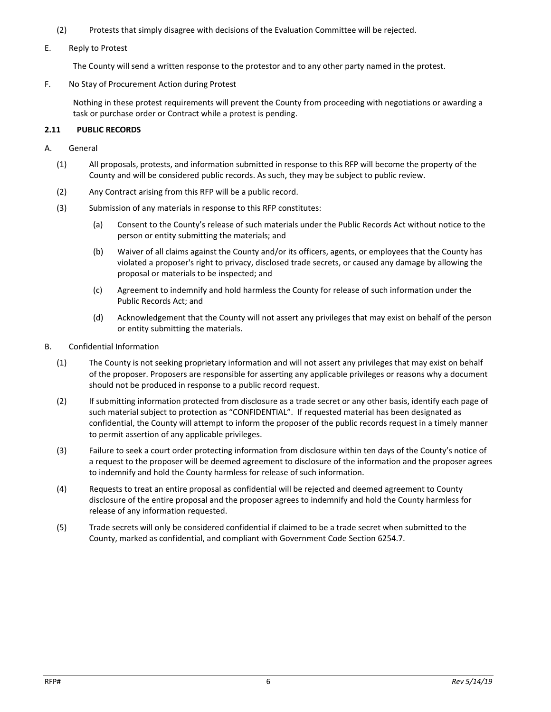- (2) Protests that simply disagree with decisions of the Evaluation Committee will be rejected.
- E. Reply to Protest

The County will send a written response to the protestor and to any other party named in the protest.

F. No Stay of Procurement Action during Protest

Nothing in these protest requirements will prevent the County from proceeding with negotiations or awarding a task or purchase order or Contract while a protest is pending.

# **2.11 PUBLIC RECORDS**

- A. General
	- (1) All proposals, protests, and information submitted in response to this RFP will become the property of the County and will be considered public records. As such, they may be subject to public review.
	- (2) Any Contract arising from this RFP will be a public record.
	- (3) Submission of any materials in response to this RFP constitutes:
		- (a) Consent to the County's release of such materials under the Public Records Act without notice to the person or entity submitting the materials; and
		- (b) Waiver of all claims against the County and/or its officers, agents, or employees that the County has violated a proposer's right to privacy, disclosed trade secrets, or caused any damage by allowing the proposal or materials to be inspected; and
		- (c) Agreement to indemnify and hold harmless the County for release of such information under the Public Records Act; and
		- (d) Acknowledgement that the County will not assert any privileges that may exist on behalf of the person or entity submitting the materials.
- B. Confidential Information
	- (1) The County is not seeking proprietary information and will not assert any privileges that may exist on behalf of the proposer. Proposers are responsible for asserting any applicable privileges or reasons why a document should not be produced in response to a public record request.
	- (2) If submitting information protected from disclosure as a trade secret or any other basis, identify each page of such material subject to protection as "CONFIDENTIAL". If requested material has been designated as confidential, the County will attempt to inform the proposer of the public records request in a timely manner to permit assertion of any applicable privileges.
	- (3) Failure to seek a court order protecting information from disclosure within ten days of the County's notice of a request to the proposer will be deemed agreement to disclosure of the information and the proposer agrees to indemnify and hold the County harmless for release of such information.
	- (4) Requests to treat an entire proposal as confidential will be rejected and deemed agreement to County disclosure of the entire proposal and the proposer agrees to indemnify and hold the County harmless for release of any information requested.
	- (5) Trade secrets will only be considered confidential if claimed to be a trade secret when submitted to the County, marked as confidential, and compliant with Government Code Section 6254.7.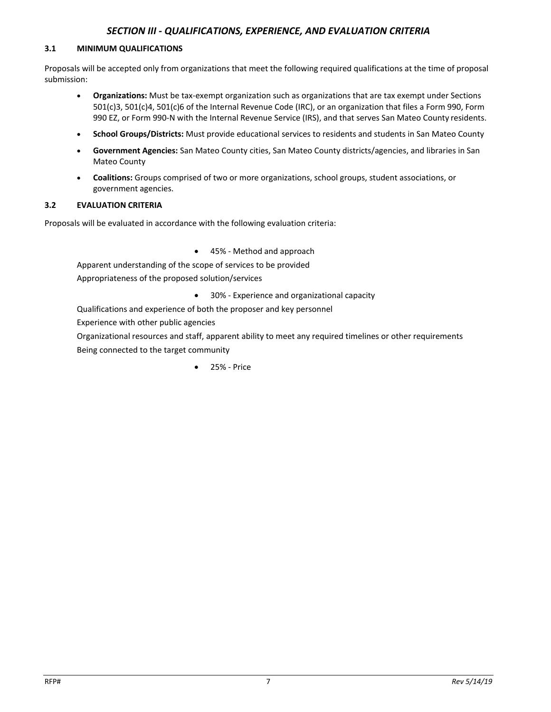## *SECTION III - QUALIFICATIONS, EXPERIENCE, AND EVALUATION CRITERIA*

#### **3.1 MINIMUM QUALIFICATIONS**

Proposals will be accepted only from organizations that meet the following required qualifications at the time of proposal submission:

- **Organizations:** Must be tax-exempt organization such as organizations that are tax exempt under Sections 501(c)3, 501(c)4, 501(c)6 of the Internal Revenue Code (IRC), or an organization that files a Form 990, Form 990 EZ, or Form 990-N with the Internal Revenue Service (IRS), and that serves San Mateo County residents.
- **School Groups/Districts:** Must provide educational services to residents and students in San Mateo County
- **Government Agencies:** San Mateo County cities, San Mateo County districts/agencies, and libraries in San Mateo County
- **Coalitions:** Groups comprised of two or more organizations, school groups, student associations, or government agencies.

### **3.2 EVALUATION CRITERIA**

Proposals will be evaluated in accordance with the following evaluation criteria:

• 45% - Method and approach

Apparent understanding of the scope of services to be provided

Appropriateness of the proposed solution/services

• 30% - Experience and organizational capacity

Qualifications and experience of both the proposer and key personnel

Experience with other public agencies

Organizational resources and staff, apparent ability to meet any required timelines or other requirements Being connected to the target community

• 25% - Price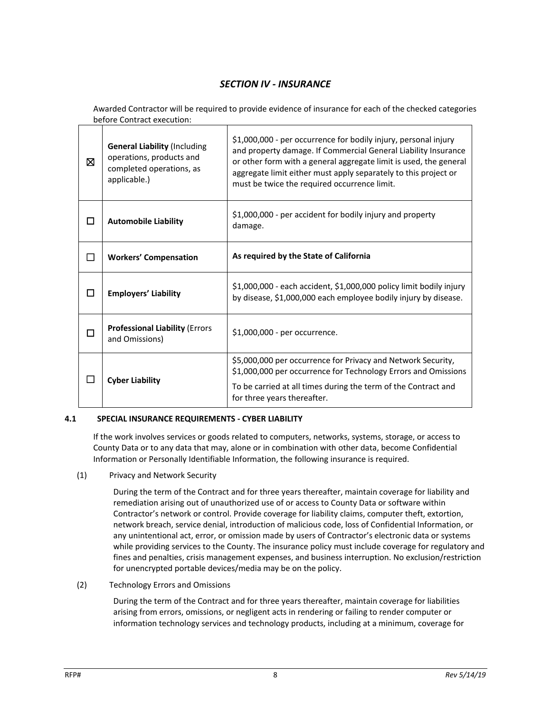# *SECTION IV - INSURANCE*

Awarded Contractor will be required to provide evidence of insurance for each of the checked categories before Contract execution:

| 冈 | <b>General Liability (Including</b><br>operations, products and<br>completed operations, as<br>applicable.) | \$1,000,000 - per occurrence for bodily injury, personal injury<br>and property damage. If Commercial General Liability Insurance<br>or other form with a general aggregate limit is used, the general<br>aggregate limit either must apply separately to this project or<br>must be twice the required occurrence limit. |
|---|-------------------------------------------------------------------------------------------------------------|---------------------------------------------------------------------------------------------------------------------------------------------------------------------------------------------------------------------------------------------------------------------------------------------------------------------------|
| П | <b>Automobile Liability</b>                                                                                 | \$1,000,000 - per accident for bodily injury and property<br>damage.                                                                                                                                                                                                                                                      |
| П | <b>Workers' Compensation</b>                                                                                | As required by the State of California                                                                                                                                                                                                                                                                                    |
| П | <b>Employers' Liability</b>                                                                                 | \$1,000,000 - each accident, \$1,000,000 policy limit bodily injury<br>by disease, \$1,000,000 each employee bodily injury by disease.                                                                                                                                                                                    |
| П | <b>Professional Liability (Errors</b><br>and Omissions)                                                     | \$1,000,000 - per occurrence.                                                                                                                                                                                                                                                                                             |
|   | <b>Cyber Liability</b>                                                                                      | \$5,000,000 per occurrence for Privacy and Network Security,<br>\$1,000,000 per occurrence for Technology Errors and Omissions                                                                                                                                                                                            |
|   |                                                                                                             | To be carried at all times during the term of the Contract and<br>for three years thereafter.                                                                                                                                                                                                                             |

## **4.1 SPECIAL INSURANCE REQUIREMENTS - CYBER LIABILITY**

If the work involves services or goods related to computers, networks, systems, storage, or access to County Data or to any data that may, alone or in combination with other data, become Confidential Information or Personally Identifiable Information, the following insurance is required.

(1) Privacy and Network Security

During the term of the Contract and for three years thereafter, maintain coverage for liability and remediation arising out of unauthorized use of or access to County Data or software within Contractor's network or control. Provide coverage for liability claims, computer theft, extortion, network breach, service denial, introduction of malicious code, loss of Confidential Information, or any unintentional act, error, or omission made by users of Contractor's electronic data or systems while providing services to the County. The insurance policy must include coverage for regulatory and fines and penalties, crisis management expenses, and business interruption. No exclusion/restriction for unencrypted portable devices/media may be on the policy.

(2) Technology Errors and Omissions

During the term of the Contract and for three years thereafter, maintain coverage for liabilities arising from errors, omissions, or negligent acts in rendering or failing to render computer or information technology services and technology products, including at a minimum, coverage for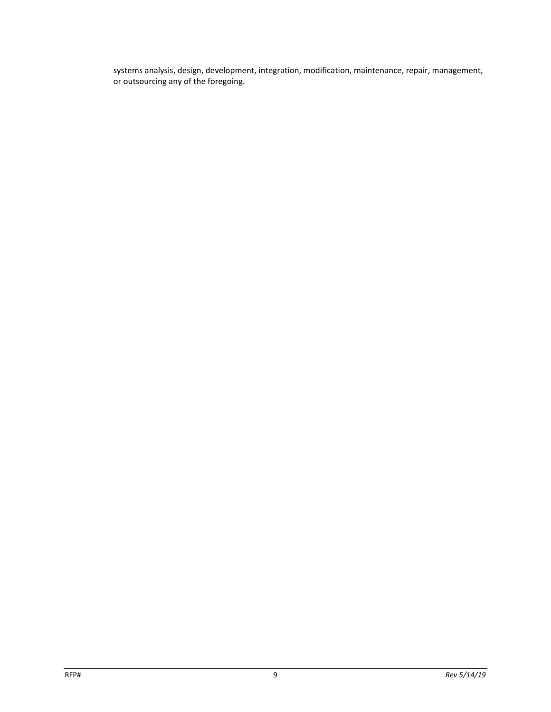systems analysis, design, development, integration, modification, maintenance, repair, management, or outsourcing any of the foregoing.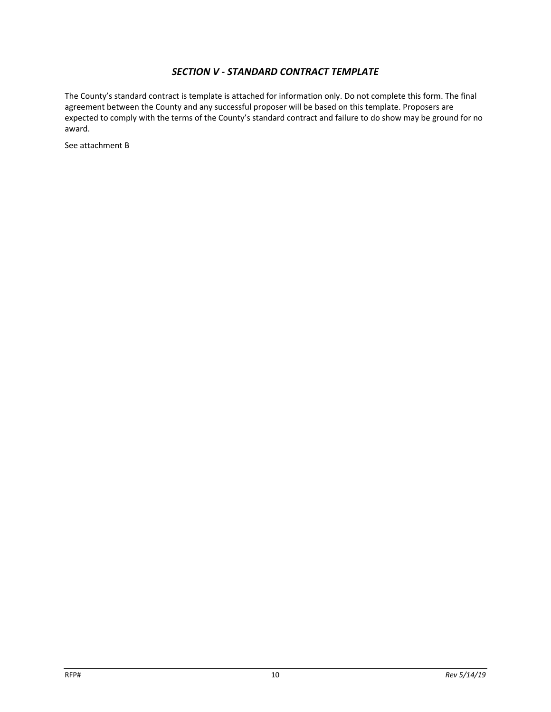# *SECTION V - STANDARD CONTRACT TEMPLATE*

The County's standard contract is template is attached for information only. Do not complete this form. The final agreement between the County and any successful proposer will be based on this template. Proposers are expected to comply with the terms of the County's standard contract and failure to do show may be ground for no award.

See attachment B